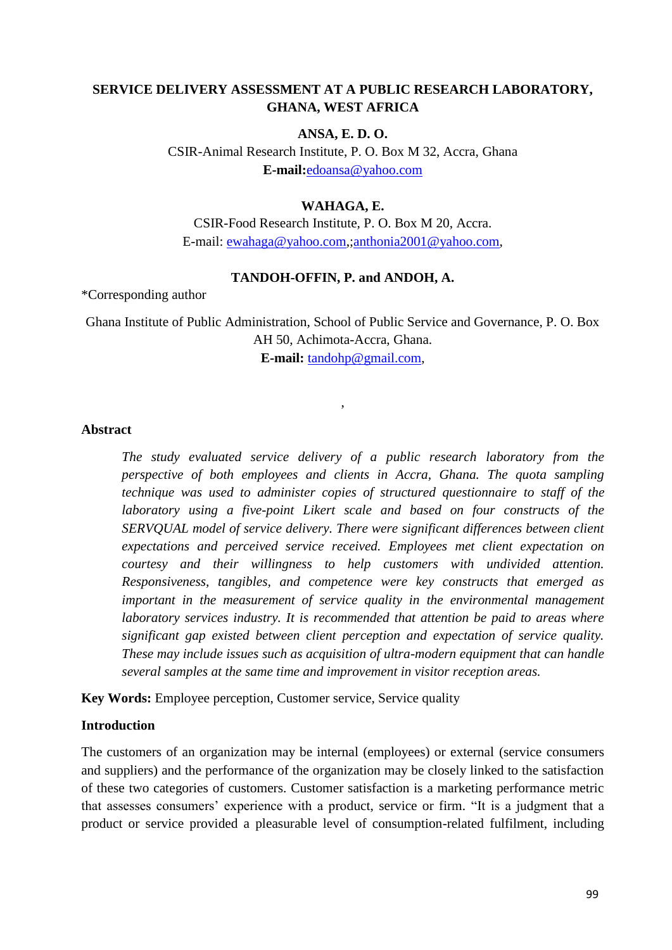# **SERVICE DELIVERY ASSESSMENT AT A PUBLIC RESEARCH LABORATORY, GHANA, WEST AFRICA**

# **ANSA, E. D. O.**

CSIR-Animal Research Institute, P. O. Box M 32, Accra, Ghana **E-mail:**[edoansa@yahoo.com](mailto:edoansa@yahoo.com)

### **WAHAGA, E.**

CSIR-Food Research Institute, P. O. Box M 20, Accra. E-mail: [ewahaga@yahoo.com,](mailto:ewahaga@yahoo.com)[;anthonia2001@yahoo.com,](mailto:anthonia2001@yahoo.com)

# **TANDOH-OFFIN, P. and ANDOH, A.**

\*Corresponding author

Ghana Institute of Public Administration, School of Public Service and Governance, P. O. Box AH 50, Achimota-Accra, Ghana. **E-mail:** [tandohp@gmail.com,](mailto:tandohp@gmail.com)

,

# **Abstract**

*The study evaluated service delivery of a public research laboratory from the perspective of both employees and clients in Accra, Ghana. The quota sampling technique was used to administer copies of structured questionnaire to staff of the laboratory using a five-point Likert scale and based on four constructs of the SERVQUAL model of service delivery. There were significant differences between client expectations and perceived service received. Employees met client expectation on courtesy and their willingness to help customers with undivided attention. Responsiveness, tangibles, and competence were key constructs that emerged as important in the measurement of service quality in the environmental management laboratory services industry. It is recommended that attention be paid to areas where significant gap existed between client perception and expectation of service quality. These may include issues such as acquisition of ultra-modern equipment that can handle several samples at the same time and improvement in visitor reception areas.*

**Key Words:** Employee perception, Customer service, Service quality

### **Introduction**

The customers of an organization may be internal (employees) or external (service consumers and suppliers) and the performance of the organization may be closely linked to the satisfaction of these two categories of customers. Customer satisfaction is a marketing performance metric that assesses consumers' experience with a product, service or firm. "It is a judgment that a product or service provided a pleasurable level of consumption-related fulfilment, including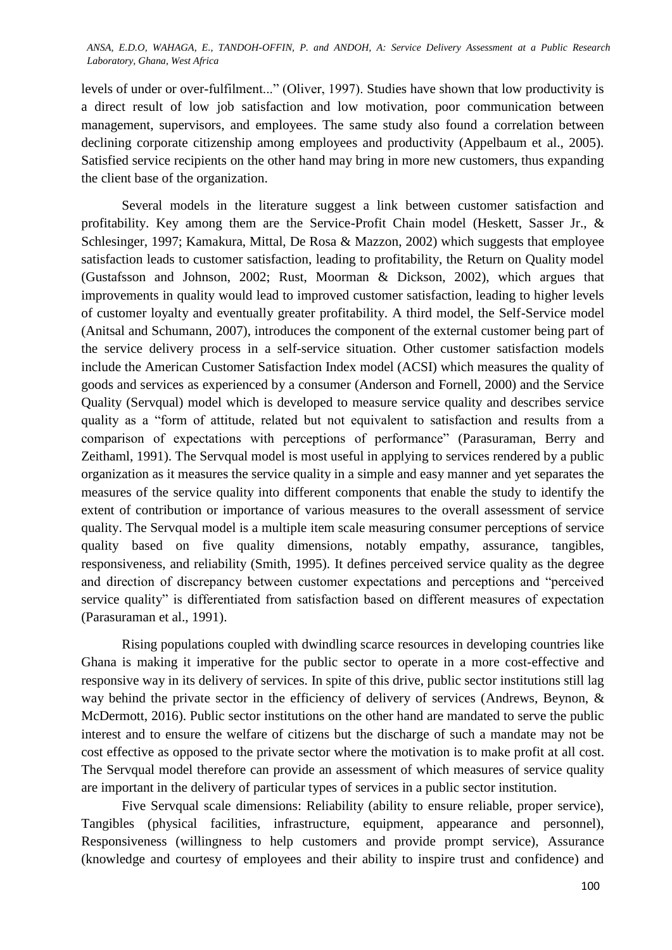levels of under or over-fulfilment..." (Oliver, 1997). Studies have shown that low productivity is a direct result of low job satisfaction and low motivation, poor communication between management, supervisors, and employees. The same study also found a correlation between declining corporate citizenship among employees and productivity (Appelbaum et al., 2005). Satisfied service recipients on the other hand may bring in more new customers, thus expanding the client base of the organization.

Several models in the literature suggest a link between customer satisfaction and profitability. Key among them are the Service-Profit Chain model (Heskett, Sasser Jr., & Schlesinger, 1997; Kamakura, Mittal, De Rosa & Mazzon, 2002) which suggests that employee satisfaction leads to customer satisfaction, leading to profitability, the Return on Quality model (Gustafsson and Johnson, 2002; Rust, Moorman & Dickson, 2002), which argues that improvements in quality would lead to improved customer satisfaction, leading to higher levels of customer loyalty and eventually greater profitability. A third model, the Self-Service model (Anitsal and Schumann, 2007), introduces the component of the external customer being part of the service delivery process in a self-service situation. Other customer satisfaction models include the American Customer Satisfaction Index model (ACSI) which measures the quality of goods and services as experienced by a consumer (Anderson and Fornell, 2000) and the Service Quality (Servqual) model which is developed to measure service quality and describes service quality as a "form of attitude, related but not equivalent to satisfaction and results from a comparison of expectations with perceptions of performance" (Parasuraman, Berry and Zeithaml, 1991). The Servqual model is most useful in applying to services rendered by a public organization as it measures the service quality in a simple and easy manner and yet separates the measures of the service quality into different components that enable the study to identify the extent of contribution or importance of various measures to the overall assessment of service quality. The Servqual model is a multiple item scale measuring consumer perceptions of service quality based on five quality dimensions, notably empathy, assurance, tangibles, responsiveness, and reliability (Smith, 1995). It defines perceived service quality as the degree and direction of discrepancy between customer expectations and perceptions and "perceived service quality" is differentiated from satisfaction based on different measures of expectation (Parasuraman et al., 1991).

Rising populations coupled with dwindling scarce resources in developing countries like Ghana is making it imperative for the public sector to operate in a more cost-effective and responsive way in its delivery of services. In spite of this drive, public sector institutions still lag way behind the private sector in the efficiency of delivery of services (Andrews, Beynon, & McDermott, 2016). Public sector institutions on the other hand are mandated to serve the public interest and to ensure the welfare of citizens but the discharge of such a mandate may not be cost effective as opposed to the private sector where the motivation is to make profit at all cost. The Servqual model therefore can provide an assessment of which measures of service quality are important in the delivery of particular types of services in a public sector institution.

Five Servqual scale dimensions: Reliability (ability to ensure reliable, proper service), Tangibles (physical facilities, infrastructure, equipment, appearance and personnel), Responsiveness (willingness to help customers and provide prompt service), Assurance (knowledge and courtesy of employees and their ability to inspire trust and confidence) and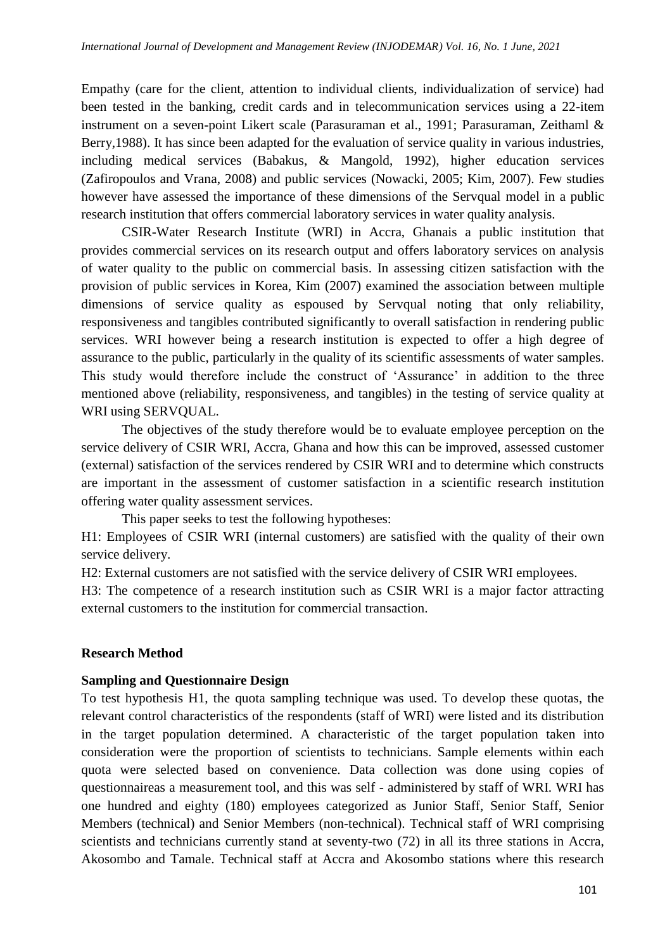Empathy (care for the client, attention to individual clients, individualization of service) had been tested in the banking, credit cards and in telecommunication services using a 22-item instrument on a seven-point Likert scale (Parasuraman et al., 1991; Parasuraman, Zeithaml & Berry, 1988). It has since been adapted for the evaluation of service quality in various industries, including medical services (Babakus, & Mangold, 1992), higher education services (Zafiropoulos and Vrana, 2008) and public services (Nowacki, 2005; Kim, 2007). Few studies however have assessed the importance of these dimensions of the Servqual model in a public research institution that offers commercial laboratory services in water quality analysis.

CSIR-Water Research Institute (WRI) in Accra, Ghanais a public institution that provides commercial services on its research output and offers laboratory services on analysis of water quality to the public on commercial basis. In assessing citizen satisfaction with the provision of public services in Korea, Kim (2007) examined the association between multiple dimensions of service quality as espoused by Servqual noting that only reliability, responsiveness and tangibles contributed significantly to overall satisfaction in rendering public services. WRI however being a research institution is expected to offer a high degree of assurance to the public, particularly in the quality of its scientific assessments of water samples. This study would therefore include the construct of ‗Assurance' in addition to the three mentioned above (reliability, responsiveness, and tangibles) in the testing of service quality at WRI using SERVQUAL.

The objectives of the study therefore would be to evaluate employee perception on the service delivery of CSIR WRI, Accra, Ghana and how this can be improved, assessed customer (external) satisfaction of the services rendered by CSIR WRI and to determine which constructs are important in the assessment of customer satisfaction in a scientific research institution offering water quality assessment services.

This paper seeks to test the following hypotheses:

H1: Employees of CSIR WRI (internal customers) are satisfied with the quality of their own service delivery.

H2: External customers are not satisfied with the service delivery of CSIR WRI employees.

H3: The competence of a research institution such as CSIR WRI is a major factor attracting external customers to the institution for commercial transaction.

### **Research Method**

### **Sampling and Questionnaire Design**

To test hypothesis H1, the quota sampling technique was used. To develop these quotas, the relevant control characteristics of the respondents (staff of WRI) were listed and its distribution in the target population determined. A characteristic of the target population taken into consideration were the proportion of scientists to technicians. Sample elements within each quota were selected based on convenience. Data collection was done using copies of questionnaireas a measurement tool, and this was self - administered by staff of WRI. WRI has one hundred and eighty (180) employees categorized as Junior Staff, Senior Staff, Senior Members (technical) and Senior Members (non-technical). Technical staff of WRI comprising scientists and technicians currently stand at seventy-two (72) in all its three stations in Accra, Akosombo and Tamale. Technical staff at Accra and Akosombo stations where this research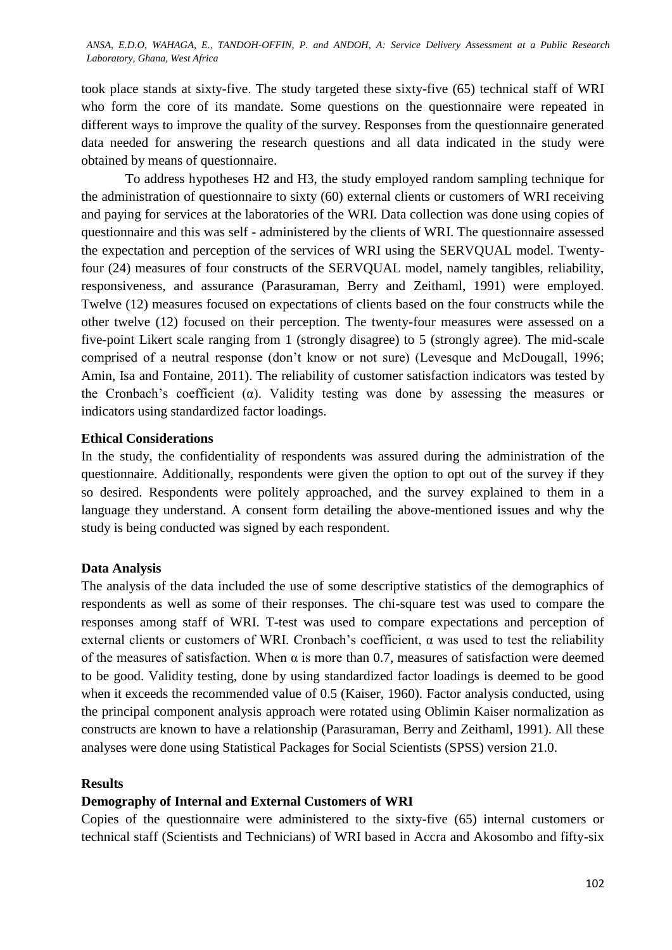took place stands at sixty-five. The study targeted these sixty-five (65) technical staff of WRI who form the core of its mandate. Some questions on the questionnaire were repeated in different ways to improve the quality of the survey. Responses from the questionnaire generated data needed for answering the research questions and all data indicated in the study were obtained by means of questionnaire.

To address hypotheses H2 and H3, the study employed random sampling technique for the administration of questionnaire to sixty (60) external clients or customers of WRI receiving and paying for services at the laboratories of the WRI. Data collection was done using copies of questionnaire and this was self - administered by the clients of WRI. The questionnaire assessed the expectation and perception of the services of WRI using the SERVQUAL model. Twentyfour (24) measures of four constructs of the SERVQUAL model, namely tangibles, reliability, responsiveness, and assurance (Parasuraman, Berry and Zeithaml, 1991) were employed. Twelve (12) measures focused on expectations of clients based on the four constructs while the other twelve (12) focused on their perception. The twenty-four measures were assessed on a five-point Likert scale ranging from 1 (strongly disagree) to 5 (strongly agree). The mid-scale comprised of a neutral response (don't know or not sure) (Levesque and McDougall, 1996; Amin, Isa and Fontaine, 2011). The reliability of customer satisfaction indicators was tested by the Cronbach's coefficient ( $\alpha$ ). Validity testing was done by assessing the measures or indicators using standardized factor loadings.

# **Ethical Considerations**

In the study, the confidentiality of respondents was assured during the administration of the questionnaire. Additionally, respondents were given the option to opt out of the survey if they so desired. Respondents were politely approached, and the survey explained to them in a language they understand. A consent form detailing the above-mentioned issues and why the study is being conducted was signed by each respondent.

#### **Data Analysis**

The analysis of the data included the use of some descriptive statistics of the demographics of respondents as well as some of their responses. The chi-square test was used to compare the responses among staff of WRI. T-test was used to compare expectations and perception of external clients or customers of WRI. Cronbach's coefficient, α was used to test the reliability of the measures of satisfaction. When  $\alpha$  is more than 0.7, measures of satisfaction were deemed to be good. Validity testing, done by using standardized factor loadings is deemed to be good when it exceeds the recommended value of 0.5 (Kaiser, 1960). Factor analysis conducted, using the principal component analysis approach were rotated using Oblimin Kaiser normalization as constructs are known to have a relationship (Parasuraman, Berry and Zeithaml, 1991). All these analyses were done using Statistical Packages for Social Scientists (SPSS) version 21.0.

#### **Results**

#### **Demography of Internal and External Customers of WRI**

Copies of the questionnaire were administered to the sixty-five (65) internal customers or technical staff (Scientists and Technicians) of WRI based in Accra and Akosombo and fifty-six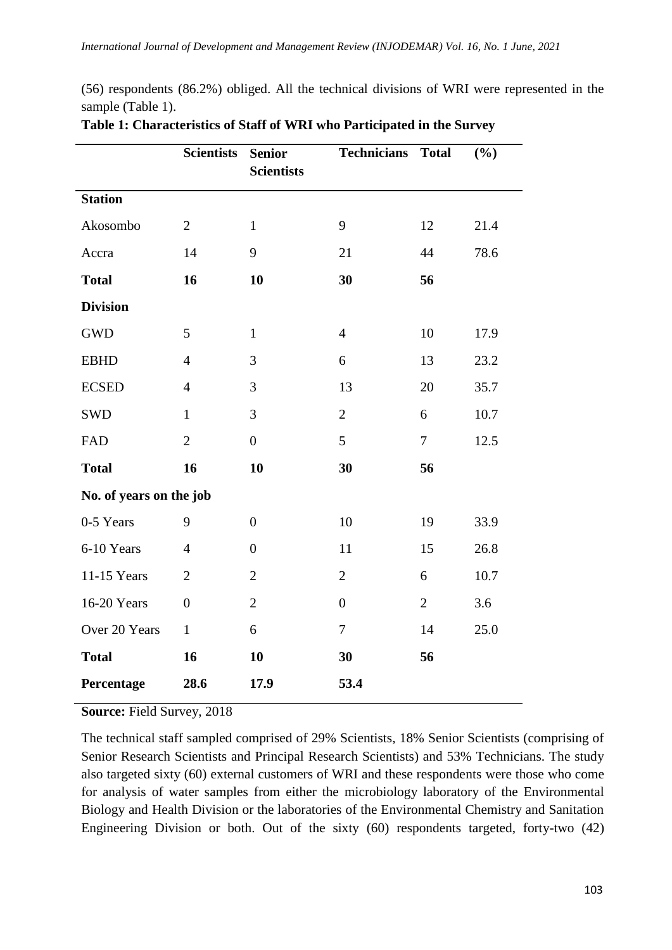(56) respondents (86.2%) obliged. All the technical divisions of WRI were represented in the sample (Table 1).

|                         | <b>Scientists</b> | <b>Senior</b><br><b>Scientists</b> | <b>Technicians</b> | <b>Total</b>   | (%)  |  |  |
|-------------------------|-------------------|------------------------------------|--------------------|----------------|------|--|--|
| <b>Station</b>          |                   |                                    |                    |                |      |  |  |
| Akosombo                | $\overline{2}$    | $\mathbf{1}$                       | 9                  | 12             | 21.4 |  |  |
| Accra                   | 14                | 9                                  | 21                 | 44             | 78.6 |  |  |
| <b>Total</b>            | 16                | 10                                 | 30                 | 56             |      |  |  |
| <b>Division</b>         |                   |                                    |                    |                |      |  |  |
| <b>GWD</b>              | 5                 | $\mathbf{1}$                       | $\overline{4}$     | 10             | 17.9 |  |  |
| <b>EBHD</b>             | $\overline{4}$    | 3                                  | 6                  | 13             | 23.2 |  |  |
| <b>ECSED</b>            | $\overline{4}$    | 3                                  | 13                 | 20             | 35.7 |  |  |
| <b>SWD</b>              | $\mathbf{1}$      | 3                                  | $\overline{2}$     | 6              | 10.7 |  |  |
| FAD                     | $\overline{2}$    | $\overline{0}$                     | 5                  | $\overline{7}$ | 12.5 |  |  |
| <b>Total</b>            | 16                | 10                                 | 30                 | 56             |      |  |  |
| No. of years on the job |                   |                                    |                    |                |      |  |  |
| 0-5 Years               | 9                 | $\overline{0}$                     | 10                 | 19             | 33.9 |  |  |
| 6-10 Years              | $\overline{4}$    | $\overline{0}$                     | 11                 | 15             | 26.8 |  |  |
| 11-15 Years             | $\overline{2}$    | $\overline{2}$                     | $\overline{2}$     | 6              | 10.7 |  |  |
| 16-20 Years             | $\boldsymbol{0}$  | $\overline{2}$                     | $\boldsymbol{0}$   | $\overline{2}$ | 3.6  |  |  |
| Over 20 Years           | $\mathbf{1}$      | 6                                  | $\tau$             | 14             | 25.0 |  |  |
| <b>Total</b>            | 16                | 10                                 | 30                 | 56             |      |  |  |
| Percentage              | 28.6              | 17.9                               | 53.4               |                |      |  |  |

# **Table 1: Characteristics of Staff of WRI who Participated in the Survey**

**Source:** Field Survey, 2018

The technical staff sampled comprised of 29% Scientists, 18% Senior Scientists (comprising of Senior Research Scientists and Principal Research Scientists) and 53% Technicians. The study also targeted sixty (60) external customers of WRI and these respondents were those who come for analysis of water samples from either the microbiology laboratory of the Environmental Biology and Health Division or the laboratories of the Environmental Chemistry and Sanitation Engineering Division or both. Out of the sixty (60) respondents targeted, forty-two (42)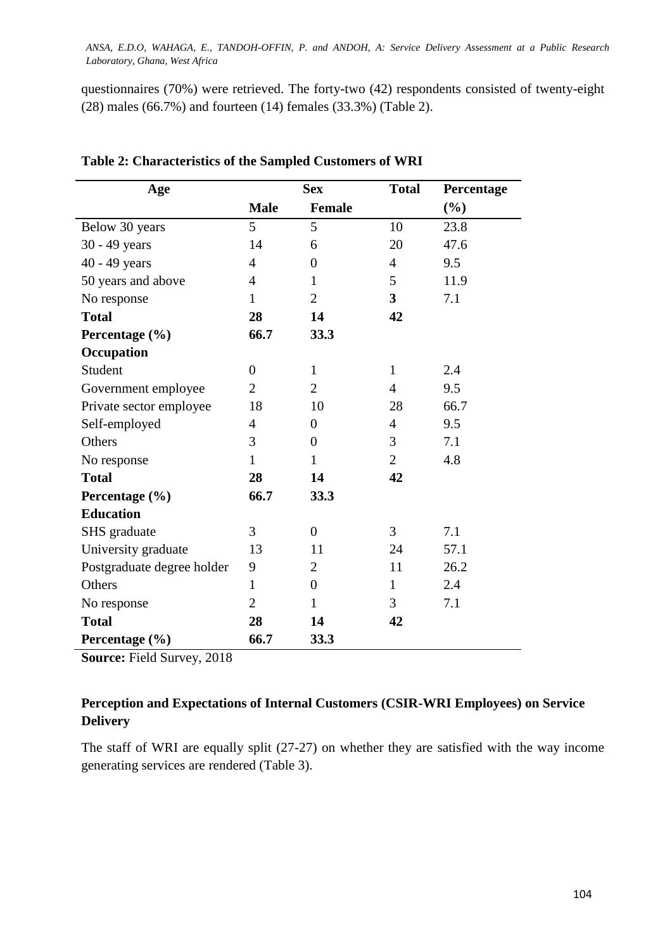questionnaires (70%) were retrieved. The forty-two (42) respondents consisted of twenty-eight (28) males (66.7%) and fourteen (14) females (33.3%) (Table 2).

| Age                        | <b>Sex</b>     |                | <b>Total</b>   | Percentage |
|----------------------------|----------------|----------------|----------------|------------|
|                            | <b>Male</b>    | Female         |                | $(\%)$     |
| Below 30 years             | 5              | 5              | 10             | 23.8       |
| 30 - 49 years              | 14             | 6              | 20             | 47.6       |
| 40 - 49 years              | $\overline{4}$ | $\overline{0}$ | $\overline{4}$ | 9.5        |
| 50 years and above         | $\overline{4}$ | $\mathbf{1}$   | 5              | 11.9       |
| No response                | 1              | $\overline{2}$ | 3              | 7.1        |
| <b>Total</b>               | 28             | 14             | 42             |            |
| Percentage (%)             | 66.7           | 33.3           |                |            |
| Occupation                 |                |                |                |            |
| Student                    | $\overline{0}$ | $\mathbf{1}$   | $\mathbf{1}$   | 2.4        |
| Government employee        | $\overline{2}$ | $\overline{2}$ | $\overline{4}$ | 9.5        |
| Private sector employee    | 18             | 10             | 28             | 66.7       |
| Self-employed              | $\overline{4}$ | $\overline{0}$ | $\overline{4}$ | 9.5        |
| Others                     | 3              | $\overline{0}$ | 3              | 7.1        |
| No response                | $\mathbf{1}$   | $\mathbf{1}$   | $\overline{2}$ | 4.8        |
| <b>Total</b>               | 28             | 14             | 42             |            |
| Percentage (%)             | 66.7           | 33.3           |                |            |
| <b>Education</b>           |                |                |                |            |
| SHS graduate               | 3              | $\overline{0}$ | 3              | 7.1        |
| University graduate        | 13             | 11             | 24             | 57.1       |
| Postgraduate degree holder | 9              | $\overline{2}$ | 11             | 26.2       |
| Others                     | $\mathbf{1}$   | $\overline{0}$ | $\mathbf{1}$   | 2.4        |
| No response                | $\overline{2}$ | 1              | 3              | 7.1        |
| <b>Total</b>               | 28             | 14             | 42             |            |
| Percentage (%)             | 66.7           | 33.3           |                |            |

# **Table 2: Characteristics of the Sampled Customers of WRI**

**Source:** Field Survey, 2018

# **Perception and Expectations of Internal Customers (CSIR-WRI Employees) on Service Delivery**

The staff of WRI are equally split (27-27) on whether they are satisfied with the way income generating services are rendered (Table 3).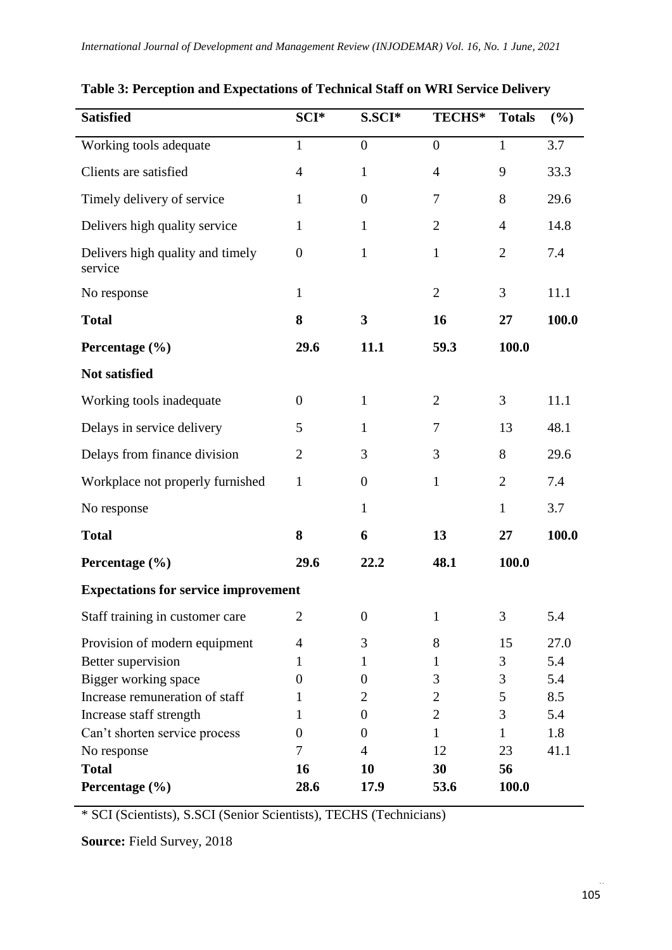| <b>Satisfied</b>                            | SCI*             | S.SCI*           | <b>TECHS*</b>  | <b>Totals</b>  | (%)   |  |
|---------------------------------------------|------------------|------------------|----------------|----------------|-------|--|
| Working tools adequate                      | $\mathbf{1}$     | $\overline{0}$   | $\overline{0}$ | $\mathbf{1}$   | 3.7   |  |
| Clients are satisfied                       | $\overline{4}$   | $\mathbf{1}$     | $\overline{4}$ | 9              | 33.3  |  |
| Timely delivery of service                  | $\mathbf{1}$     | $\overline{0}$   | 7              | 8              | 29.6  |  |
| Delivers high quality service               | $\mathbf{1}$     | $\mathbf{1}$     | $\overline{2}$ | $\overline{4}$ | 14.8  |  |
| Delivers high quality and timely<br>service | $\boldsymbol{0}$ | $\mathbf{1}$     | $\mathbf{1}$   | $\overline{2}$ | 7.4   |  |
| No response                                 | $\mathbf{1}$     |                  | $\mathbf{2}$   | 3              | 11.1  |  |
| <b>Total</b>                                | 8                | 3                | 16             | 27             | 100.0 |  |
| Percentage (%)                              | 29.6             | 11.1             | 59.3           | 100.0          |       |  |
| Not satisfied                               |                  |                  |                |                |       |  |
| Working tools inadequate                    | $\theta$         | $\mathbf{1}$     | $\overline{2}$ | 3              | 11.1  |  |
| Delays in service delivery                  | 5                | $\mathbf{1}$     | 7              | 13             | 48.1  |  |
| Delays from finance division                | $\overline{2}$   | 3                | 3              | 8              | 29.6  |  |
| Workplace not properly furnished            | $\mathbf{1}$     | $\boldsymbol{0}$ | $\mathbf{1}$   | $\overline{2}$ | 7.4   |  |
| No response                                 |                  | $\mathbf{1}$     |                | $\mathbf{1}$   | 3.7   |  |
| <b>Total</b>                                | 8                | 6                | 13             | 27             | 100.0 |  |
| Percentage (%)                              | 29.6             | 22.2             | 48.1           | 100.0          |       |  |
| <b>Expectations for service improvement</b> |                  |                  |                |                |       |  |
| Staff training in customer care             | $\overline{2}$   | $\boldsymbol{0}$ | $\bf{l}$       | 3              | 5.4   |  |
| Provision of modern equipment               | 4                | 3                | 8              | 15             | 27.0  |  |
| Better supervision                          | 1                | 1                | 1              | 3              | 5.4   |  |
| Bigger working space                        | 0                | 0                | 3              | 3              | 5.4   |  |
| Increase remuneration of staff              | 1                | 2                | $\mathbf{2}$   | 5              | 8.5   |  |
| Increase staff strength                     | 1                | $\boldsymbol{0}$ | $\overline{2}$ | 3              | 5.4   |  |
| Can't shorten service process               | $\Omega$         | 0                | 1              | 1              | 1.8   |  |
| No response                                 | 7                | 4                | 12             | 23             | 41.1  |  |
| <b>Total</b>                                | 16               | 10               | 30             | 56             |       |  |
| Percentage (%)                              | 28.6             | 17.9             | 53.6           | 100.0          |       |  |

**Table 3: Perception and Expectations of Technical Staff on WRI Service Delivery**

\* SCI (Scientists), S.SCI (Senior Scientists), TECHS (Technicians)

**Source:** Field Survey, 2018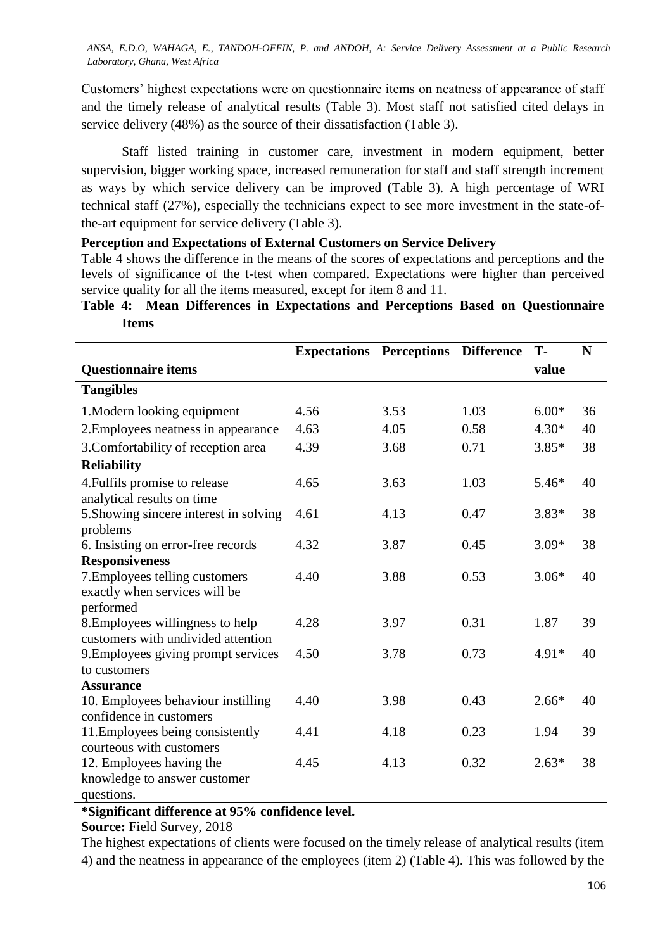Customers' highest expectations were on questionnaire items on neatness of appearance of staff and the timely release of analytical results (Table 3). Most staff not satisfied cited delays in service delivery (48%) as the source of their dissatisfaction (Table 3).

Staff listed training in customer care, investment in modern equipment, better supervision, bigger working space, increased remuneration for staff and staff strength increment as ways by which service delivery can be improved (Table 3). A high percentage of WRI technical staff (27%), especially the technicians expect to see more investment in the state-ofthe-art equipment for service delivery (Table 3).

# **Perception and Expectations of External Customers on Service Delivery**

Table 4 shows the difference in the means of the scores of expectations and perceptions and the levels of significance of the t-test when compared. Expectations were higher than perceived service quality for all the items measured, except for item 8 and 11.

**Table 4: Mean Differences in Expectations and Perceptions Based on Questionnaire Items**

|                                                             | <b>Expectations</b> | <b>Perceptions</b> | <b>Difference</b> | T-      | N  |
|-------------------------------------------------------------|---------------------|--------------------|-------------------|---------|----|
| <b>Questionnaire items</b>                                  |                     |                    |                   | value   |    |
| <b>Tangibles</b>                                            |                     |                    |                   |         |    |
| 1. Modern looking equipment                                 | 4.56                | 3.53               | 1.03              | $6.00*$ | 36 |
| 2. Employees neatness in appearance                         | 4.63                | 4.05               | 0.58              | $4.30*$ | 40 |
| 3. Comfortability of reception area                         | 4.39                | 3.68               | 0.71              | $3.85*$ | 38 |
| <b>Reliability</b>                                          |                     |                    |                   |         |    |
| 4. Fulfils promise to release<br>analytical results on time | 4.65                | 3.63               | 1.03              | $5.46*$ | 40 |
| 5. Showing sincere interest in solving<br>problems          | 4.61                | 4.13               | 0.47              | $3.83*$ | 38 |
| 6. Insisting on error-free records                          | 4.32                | 3.87               | 0.45              | $3.09*$ | 38 |
| <b>Responsiveness</b>                                       |                     |                    |                   |         |    |
| 7. Employees telling customers                              | 4.40                | 3.88               | 0.53              | $3.06*$ | 40 |
| exactly when services will be<br>performed                  |                     |                    |                   |         |    |
| 8. Employees willingness to help                            | 4.28                | 3.97               | 0.31              | 1.87    | 39 |
| customers with undivided attention                          |                     |                    |                   |         |    |
| 9. Employees giving prompt services                         | 4.50                | 3.78               | 0.73              | $4.91*$ | 40 |
| to customers                                                |                     |                    |                   |         |    |
| <b>Assurance</b>                                            |                     |                    |                   |         |    |
| 10. Employees behaviour instilling                          | 4.40                | 3.98               | 0.43              | $2.66*$ | 40 |
| confidence in customers                                     |                     |                    |                   |         |    |
| 11. Employees being consistently                            | 4.41                | 4.18               | 0.23              | 1.94    | 39 |
| courteous with customers                                    |                     |                    |                   |         |    |
| 12. Employees having the                                    | 4.45                | 4.13               | 0.32              | $2.63*$ | 38 |
| knowledge to answer customer                                |                     |                    |                   |         |    |
| questions.                                                  |                     |                    |                   |         |    |

**\*Significant difference at 95% confidence level.** 

**Source:** Field Survey, 2018

The highest expectations of clients were focused on the timely release of analytical results (item 4) and the neatness in appearance of the employees (item 2) (Table 4). This was followed by the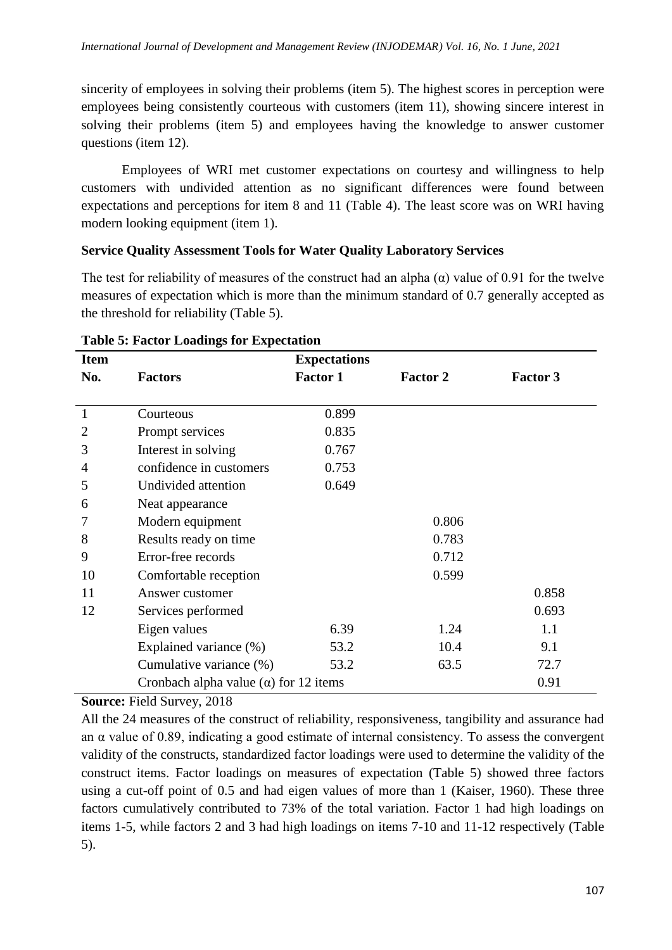sincerity of employees in solving their problems (item 5). The highest scores in perception were employees being consistently courteous with customers (item 11), showing sincere interest in solving their problems (item 5) and employees having the knowledge to answer customer questions (item 12).

Employees of WRI met customer expectations on courtesy and willingness to help customers with undivided attention as no significant differences were found between expectations and perceptions for item 8 and 11 (Table 4). The least score was on WRI having modern looking equipment (item 1).

# **Service Quality Assessment Tools for Water Quality Laboratory Services**

The test for reliability of measures of the construct had an alpha  $(\alpha)$  value of 0.91 for the twelve measures of expectation which is more than the minimum standard of 0.7 generally accepted as the threshold for reliability (Table 5).

| <b>Item</b>    |                                              | <b>Expectations</b> |                 |                 |
|----------------|----------------------------------------------|---------------------|-----------------|-----------------|
| No.            | <b>Factors</b>                               | <b>Factor 1</b>     | <b>Factor 2</b> | <b>Factor 3</b> |
|                |                                              |                     |                 |                 |
| $\mathbf{1}$   | Courteous                                    | 0.899               |                 |                 |
| $\overline{2}$ | Prompt services                              | 0.835               |                 |                 |
| 3              | Interest in solving                          | 0.767               |                 |                 |
| 4              | confidence in customers                      | 0.753               |                 |                 |
| 5              | Undivided attention                          | 0.649               |                 |                 |
| 6              | Neat appearance                              |                     |                 |                 |
|                | Modern equipment                             |                     | 0.806           |                 |
| 8              | Results ready on time                        |                     | 0.783           |                 |
| 9              | Error-free records                           |                     | 0.712           |                 |
| 10             | Comfortable reception                        |                     | 0.599           |                 |
| 11             | Answer customer                              |                     |                 | 0.858           |
| 12             | Services performed                           |                     |                 | 0.693           |
|                | Eigen values                                 | 6.39                | 1.24            | 1.1             |
|                | Explained variance (%)                       | 53.2                | 10.4            | 9.1             |
|                | Cumulative variance (%)                      | 53.2                | 63.5            | 72.7            |
|                | Cronbach alpha value $(\alpha)$ for 12 items |                     |                 | 0.91            |

### **Table 5: Factor Loadings for Expectation**

**Source:** Field Survey, 2018

All the 24 measures of the construct of reliability, responsiveness, tangibility and assurance had an  $\alpha$  value of 0.89, indicating a good estimate of internal consistency. To assess the convergent validity of the constructs, standardized factor loadings were used to determine the validity of the construct items. Factor loadings on measures of expectation (Table 5) showed three factors using a cut-off point of 0.5 and had eigen values of more than 1 (Kaiser, 1960). These three factors cumulatively contributed to 73% of the total variation. Factor 1 had high loadings on items 1-5, while factors 2 and 3 had high loadings on items 7-10 and 11-12 respectively (Table 5).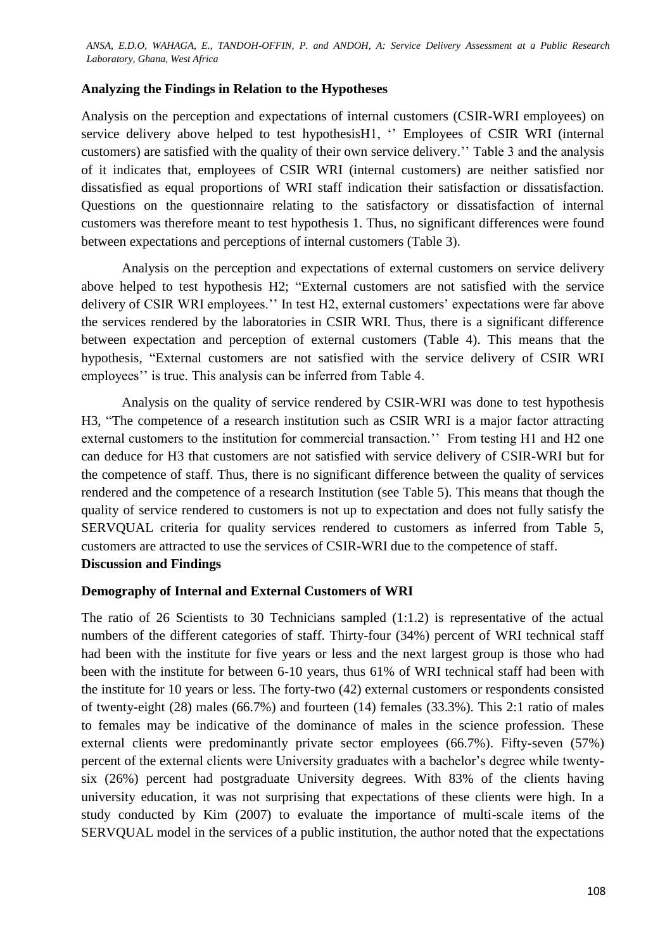# **Analyzing the Findings in Relation to the Hypotheses**

Analysis on the perception and expectations of internal customers (CSIR-WRI employees) on service delivery above helped to test hypothesisH1, " Employees of CSIR WRI (internal customers) are satisfied with the quality of their own service delivery.'' Table 3 and the analysis of it indicates that, employees of CSIR WRI (internal customers) are neither satisfied nor dissatisfied as equal proportions of WRI staff indication their satisfaction or dissatisfaction. Questions on the questionnaire relating to the satisfactory or dissatisfaction of internal customers was therefore meant to test hypothesis 1. Thus, no significant differences were found between expectations and perceptions of internal customers (Table 3).

Analysis on the perception and expectations of external customers on service delivery above helped to test hypothesis H2; "External customers are not satisfied with the service delivery of CSIR WRI employees.'' In test H2, external customers' expectations were far above the services rendered by the laboratories in CSIR WRI. Thus, there is a significant difference between expectation and perception of external customers (Table 4). This means that the hypothesis, "External customers are not satisfied with the service delivery of CSIR WRI employees'' is true. This analysis can be inferred from Table 4.

Analysis on the quality of service rendered by CSIR-WRI was done to test hypothesis H3, "The competence of a research institution such as CSIR WRI is a major factor attracting external customers to the institution for commercial transaction.'' From testing H1 and H2 one can deduce for H3 that customers are not satisfied with service delivery of CSIR-WRI but for the competence of staff. Thus, there is no significant difference between the quality of services rendered and the competence of a research Institution (see Table 5). This means that though the quality of service rendered to customers is not up to expectation and does not fully satisfy the SERVQUAL criteria for quality services rendered to customers as inferred from Table 5, customers are attracted to use the services of CSIR-WRI due to the competence of staff. **Discussion and Findings**

### **Demography of Internal and External Customers of WRI**

The ratio of 26 Scientists to 30 Technicians sampled (1:1.2) is representative of the actual numbers of the different categories of staff. Thirty-four (34%) percent of WRI technical staff had been with the institute for five years or less and the next largest group is those who had been with the institute for between 6-10 years, thus 61% of WRI technical staff had been with the institute for 10 years or less. The forty-two (42) external customers or respondents consisted of twenty-eight (28) males (66.7%) and fourteen (14) females (33.3%). This 2:1 ratio of males to females may be indicative of the dominance of males in the science profession. These external clients were predominantly private sector employees (66.7%). Fifty-seven (57%) percent of the external clients were University graduates with a bachelor's degree while twentysix (26%) percent had postgraduate University degrees. With 83% of the clients having university education, it was not surprising that expectations of these clients were high. In a study conducted by Kim (2007) to evaluate the importance of multi-scale items of the SERVQUAL model in the services of a public institution, the author noted that the expectations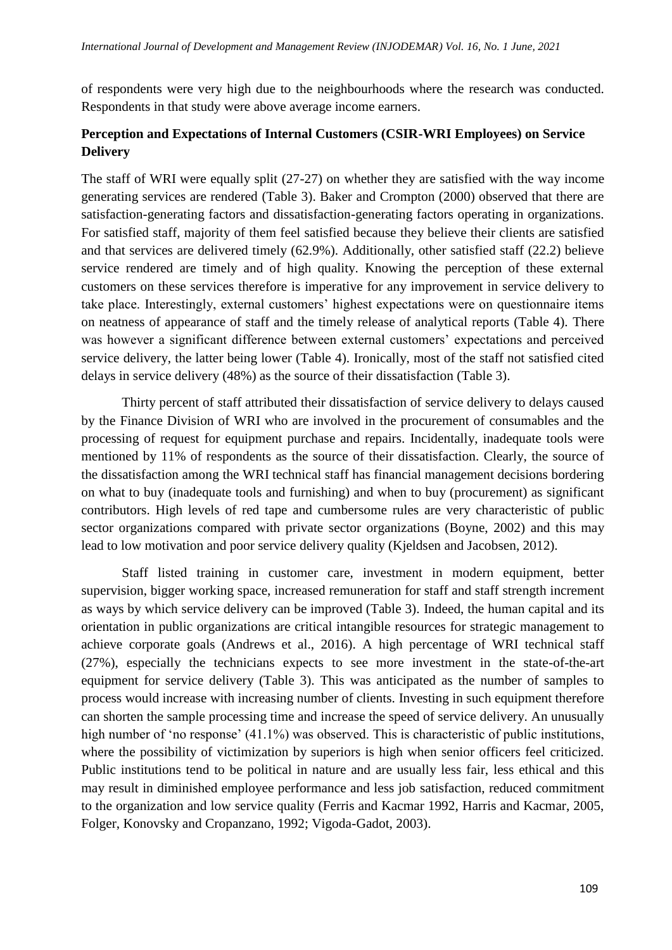of respondents were very high due to the neighbourhoods where the research was conducted. Respondents in that study were above average income earners.

# **Perception and Expectations of Internal Customers (CSIR-WRI Employees) on Service Delivery**

The staff of WRI were equally split (27-27) on whether they are satisfied with the way income generating services are rendered (Table 3). Baker and Crompton (2000) observed that there are satisfaction-generating factors and dissatisfaction-generating factors operating in organizations. For satisfied staff, majority of them feel satisfied because they believe their clients are satisfied and that services are delivered timely (62.9%). Additionally, other satisfied staff (22.2) believe service rendered are timely and of high quality. Knowing the perception of these external customers on these services therefore is imperative for any improvement in service delivery to take place. Interestingly, external customers' highest expectations were on questionnaire items on neatness of appearance of staff and the timely release of analytical reports (Table 4). There was however a significant difference between external customers' expectations and perceived service delivery, the latter being lower (Table 4). Ironically, most of the staff not satisfied cited delays in service delivery (48%) as the source of their dissatisfaction (Table 3).

Thirty percent of staff attributed their dissatisfaction of service delivery to delays caused by the Finance Division of WRI who are involved in the procurement of consumables and the processing of request for equipment purchase and repairs. Incidentally, inadequate tools were mentioned by 11% of respondents as the source of their dissatisfaction. Clearly, the source of the dissatisfaction among the WRI technical staff has financial management decisions bordering on what to buy (inadequate tools and furnishing) and when to buy (procurement) as significant contributors. High levels of red tape and cumbersome rules are very characteristic of public sector organizations compared with private sector organizations (Boyne, 2002) and this may lead to low motivation and poor service delivery quality (Kjeldsen and Jacobsen, 2012).

Staff listed training in customer care, investment in modern equipment, better supervision, bigger working space, increased remuneration for staff and staff strength increment as ways by which service delivery can be improved (Table 3). Indeed, the human capital and its orientation in public organizations are critical intangible resources for strategic management to achieve corporate goals (Andrews et al., 2016). A high percentage of WRI technical staff (27%), especially the technicians expects to see more investment in the state-of-the-art equipment for service delivery (Table 3). This was anticipated as the number of samples to process would increase with increasing number of clients. Investing in such equipment therefore can shorten the sample processing time and increase the speed of service delivery. An unusually high number of 'no response' (41.1%) was observed. This is characteristic of public institutions, where the possibility of victimization by superiors is high when senior officers feel criticized. Public institutions tend to be political in nature and are usually less fair, less ethical and this may result in diminished employee performance and less job satisfaction, reduced commitment to the organization and low service quality (Ferris and Kacmar 1992, Harris and Kacmar, 2005, Folger, Konovsky and Cropanzano, 1992; Vigoda-Gadot, 2003).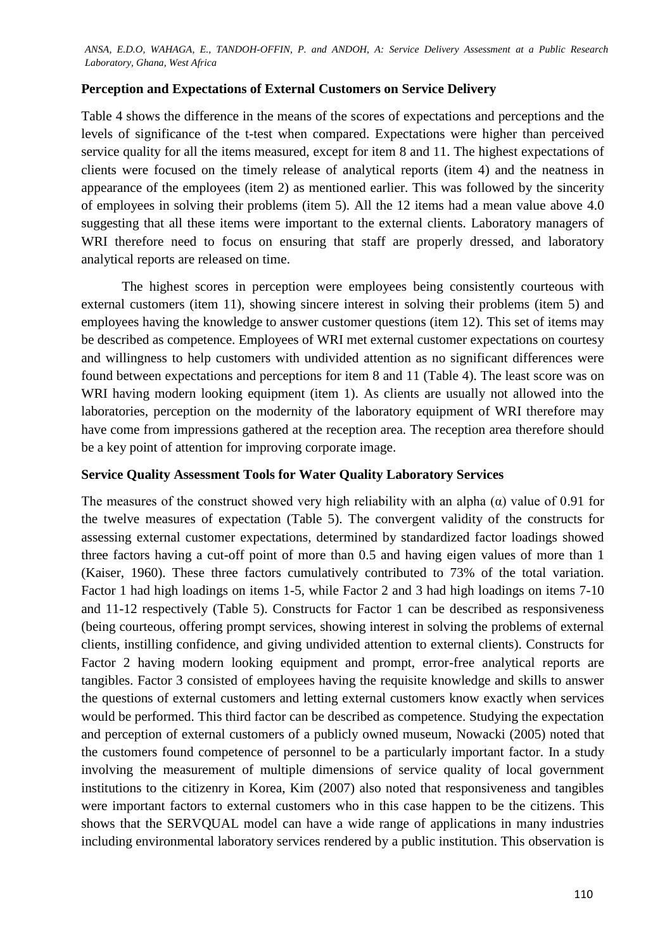# **Perception and Expectations of External Customers on Service Delivery**

Table 4 shows the difference in the means of the scores of expectations and perceptions and the levels of significance of the t-test when compared. Expectations were higher than perceived service quality for all the items measured, except for item 8 and 11. The highest expectations of clients were focused on the timely release of analytical reports (item 4) and the neatness in appearance of the employees (item 2) as mentioned earlier. This was followed by the sincerity of employees in solving their problems (item 5). All the 12 items had a mean value above 4.0 suggesting that all these items were important to the external clients. Laboratory managers of WRI therefore need to focus on ensuring that staff are properly dressed, and laboratory analytical reports are released on time.

The highest scores in perception were employees being consistently courteous with external customers (item 11), showing sincere interest in solving their problems (item 5) and employees having the knowledge to answer customer questions (item 12). This set of items may be described as competence. Employees of WRI met external customer expectations on courtesy and willingness to help customers with undivided attention as no significant differences were found between expectations and perceptions for item 8 and 11 (Table 4). The least score was on WRI having modern looking equipment (item 1). As clients are usually not allowed into the laboratories, perception on the modernity of the laboratory equipment of WRI therefore may have come from impressions gathered at the reception area. The reception area therefore should be a key point of attention for improving corporate image.

# **Service Quality Assessment Tools for Water Quality Laboratory Services**

The measures of the construct showed very high reliability with an alpha  $(\alpha)$  value of 0.91 for the twelve measures of expectation (Table 5). The convergent validity of the constructs for assessing external customer expectations, determined by standardized factor loadings showed three factors having a cut-off point of more than 0.5 and having eigen values of more than 1 (Kaiser, 1960). These three factors cumulatively contributed to 73% of the total variation. Factor 1 had high loadings on items 1-5, while Factor 2 and 3 had high loadings on items 7-10 and 11-12 respectively (Table 5). Constructs for Factor 1 can be described as responsiveness (being courteous, offering prompt services, showing interest in solving the problems of external clients, instilling confidence, and giving undivided attention to external clients). Constructs for Factor 2 having modern looking equipment and prompt, error-free analytical reports are tangibles. Factor 3 consisted of employees having the requisite knowledge and skills to answer the questions of external customers and letting external customers know exactly when services would be performed. This third factor can be described as competence. Studying the expectation and perception of external customers of a publicly owned museum, Nowacki (2005) noted that the customers found competence of personnel to be a particularly important factor. In a study involving the measurement of multiple dimensions of service quality of local government institutions to the citizenry in Korea, Kim (2007) also noted that responsiveness and tangibles were important factors to external customers who in this case happen to be the citizens. This shows that the SERVQUAL model can have a wide range of applications in many industries including environmental laboratory services rendered by a public institution. This observation is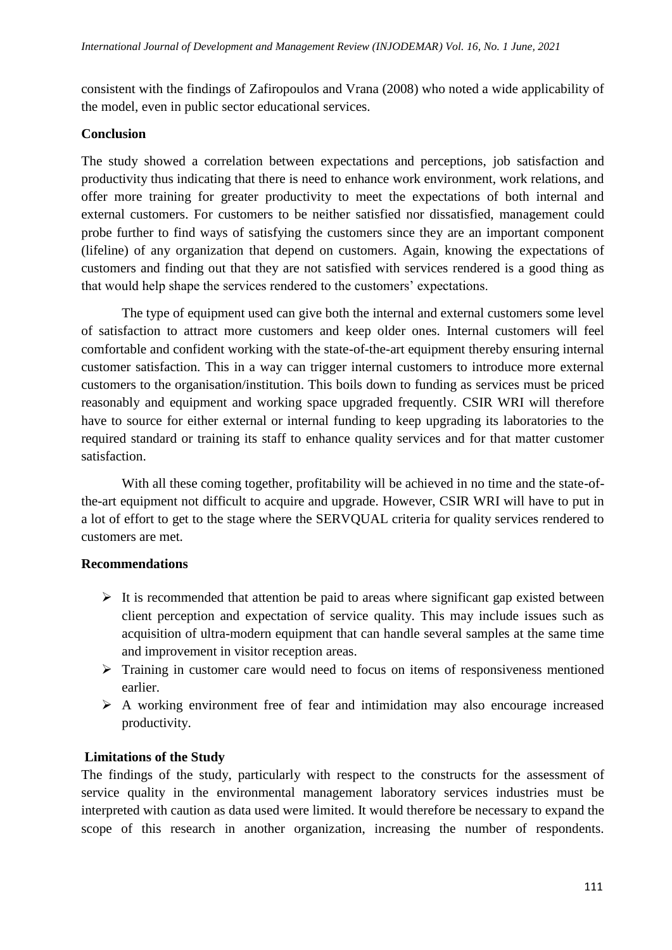consistent with the findings of Zafiropoulos and Vrana (2008) who noted a wide applicability of the model, even in public sector educational services.

# **Conclusion**

The study showed a correlation between expectations and perceptions, job satisfaction and productivity thus indicating that there is need to enhance work environment, work relations, and offer more training for greater productivity to meet the expectations of both internal and external customers. For customers to be neither satisfied nor dissatisfied, management could probe further to find ways of satisfying the customers since they are an important component (lifeline) of any organization that depend on customers. Again, knowing the expectations of customers and finding out that they are not satisfied with services rendered is a good thing as that would help shape the services rendered to the customers' expectations.

The type of equipment used can give both the internal and external customers some level of satisfaction to attract more customers and keep older ones. Internal customers will feel comfortable and confident working with the state-of-the-art equipment thereby ensuring internal customer satisfaction. This in a way can trigger internal customers to introduce more external customers to the organisation/institution. This boils down to funding as services must be priced reasonably and equipment and working space upgraded frequently. CSIR WRI will therefore have to source for either external or internal funding to keep upgrading its laboratories to the required standard or training its staff to enhance quality services and for that matter customer satisfaction.

With all these coming together, profitability will be achieved in no time and the state-ofthe-art equipment not difficult to acquire and upgrade. However, CSIR WRI will have to put in a lot of effort to get to the stage where the SERVQUAL criteria for quality services rendered to customers are met.

# **Recommendations**

- $\triangleright$  It is recommended that attention be paid to areas where significant gap existed between client perception and expectation of service quality. This may include issues such as acquisition of ultra-modern equipment that can handle several samples at the same time and improvement in visitor reception areas.
- $\triangleright$  Training in customer care would need to focus on items of responsiveness mentioned earlier.
- $\triangleright$  A working environment free of fear and intimidation may also encourage increased productivity.

# **Limitations of the Study**

The findings of the study, particularly with respect to the constructs for the assessment of service quality in the environmental management laboratory services industries must be interpreted with caution as data used were limited. It would therefore be necessary to expand the scope of this research in another organization, increasing the number of respondents.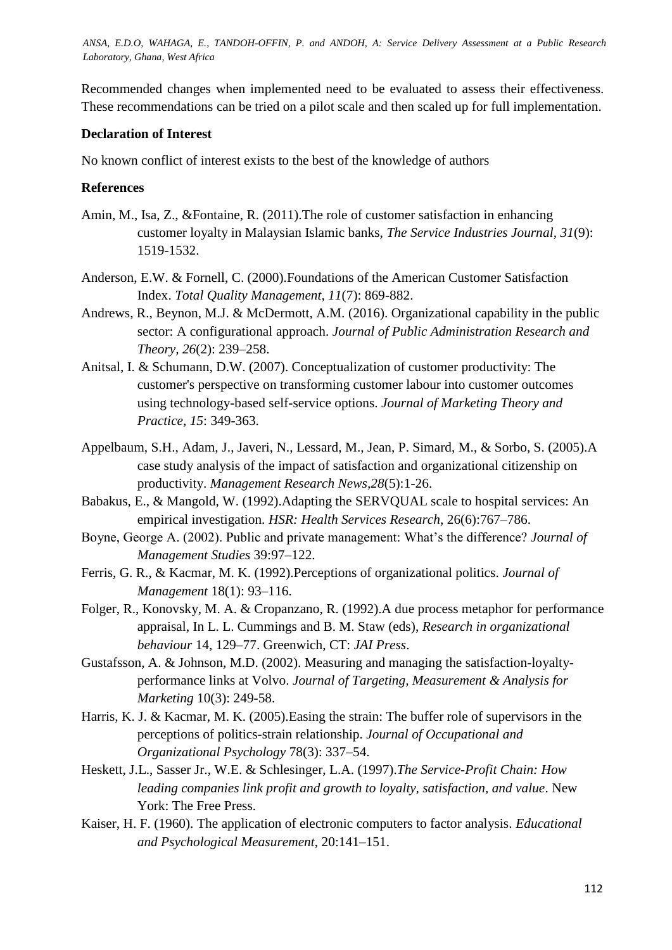Recommended changes when implemented need to be evaluated to assess their effectiveness. These recommendations can be tried on a pilot scale and then scaled up for full implementation.

### **Declaration of Interest**

No known conflict of interest exists to the best of the knowledge of authors

#### **References**

- Amin, M., Isa, Z., &Fontaine, R. (2011).The role of customer satisfaction in enhancing customer loyalty in Malaysian Islamic banks, *The Service Industries Journal, 31*(9): 1519-1532.
- Anderson, E.W. & Fornell, C. (2000).Foundations of the American Customer Satisfaction Index. *Total Quality Management, 11*(7): 869-882.
- Andrews, R., Beynon, M.J. & McDermott, A.M. (2016). Organizational capability in the public sector: A configurational approach. *Journal of Public Administration Research and Theory, 26*(2): 239–258.
- Anitsal, I. & Schumann, D.W. (2007). Conceptualization of customer productivity: The customer's perspective on transforming customer labour into customer outcomes using technology-based self-service options. *Journal of Marketing Theory and Practice*, *15*: 349-363.
- Appelbaum, S.H., Adam, J., Javeri, N., Lessard, M., Jean, P. Simard, M., & Sorbo, S. (2005).A case study analysis of the impact of satisfaction and organizational citizenship on productivity. *Management Research News,28*(5):1-26.
- Babakus, E., & Mangold, W. (1992).Adapting the SERVQUAL scale to hospital services: An empirical investigation. *HSR: Health Services Research*, 26(6):767–786.
- Boyne, George A. (2002). Public and private management: What's the difference? *Journal of Management Studies* 39:97–122.
- Ferris, G. R., & Kacmar, M. K. (1992).Perceptions of organizational politics. *Journal of Management* 18(1): 93–116.
- Folger, R., Konovsky, M. A. & Cropanzano, R. (1992).A due process metaphor for performance appraisal, In L. L. Cummings and B. M. Staw (eds), *Research in organizational behaviour* 14, 129–77. Greenwich, CT: *JAI Press*.
- Gustafsson, A. & Johnson, M.D. (2002). Measuring and managing the satisfaction-loyaltyperformance links at Volvo. *Journal of Targeting, Measurement & Analysis for Marketing* 10(3): 249-58.
- Harris, K. J. & Kacmar, M. K. (2005).Easing the strain: The buffer role of supervisors in the perceptions of politics-strain relationship. *Journal of Occupational and Organizational Psychology* 78(3): 337–54.
- Heskett, J.L., Sasser Jr., W.E. & Schlesinger, L.A. (1997).*The Service-Profit Chain: How leading companies link profit and growth to loyalty, satisfaction, and value*. New York: The Free Press.
- Kaiser, H. F. (1960). The application of electronic computers to factor analysis. *Educational and Psychological Measurement*, 20:141–151.